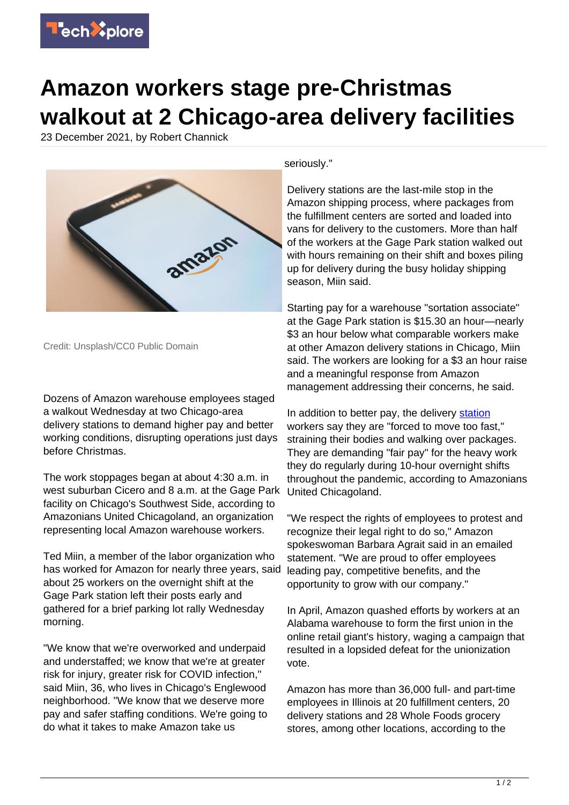

## **Amazon workers stage pre-Christmas walkout at 2 Chicago-area delivery facilities**

23 December 2021, by Robert Channick



Credit: Unsplash/CC0 Public Domain

Dozens of Amazon warehouse employees staged a walkout Wednesday at two Chicago-area delivery stations to demand higher pay and better working conditions, disrupting operations just days before Christmas.

The work stoppages began at about 4:30 a.m. in west suburban Cicero and 8 a.m. at the Gage Park facility on Chicago's Southwest Side, according to Amazonians United Chicagoland, an organization representing local Amazon warehouse workers.

Ted Miin, a member of the labor organization who has worked for Amazon for nearly three years, said about 25 workers on the overnight shift at the Gage Park station left their posts early and gathered for a brief parking lot rally Wednesday morning.

"We know that we're overworked and underpaid and understaffed; we know that we're at greater risk for injury, greater risk for COVID infection," said Miin, 36, who lives in Chicago's Englewood neighborhood. "We know that we deserve more pay and safer staffing conditions. We're going to do what it takes to make Amazon take us

seriously."

Delivery stations are the last-mile stop in the Amazon shipping process, where packages from the fulfillment centers are sorted and loaded into vans for delivery to the customers. More than half of the workers at the Gage Park station walked out with hours remaining on their shift and boxes piling up for delivery during the busy holiday shipping season, Miin said.

Starting pay for a warehouse "sortation associate" at the Gage Park station is \$15.30 an hour—nearly \$3 an hour below what comparable workers make at other Amazon delivery stations in Chicago, Miin said. The workers are looking for a \$3 an hour raise and a meaningful response from Amazon management addressing their concerns, he said.

In addition to better pay, the delivery [station](https://techxplore.com/tags/station/) workers say they are "forced to move too fast," straining their bodies and walking over packages. They are demanding "fair pay" for the heavy work they do regularly during 10-hour overnight shifts throughout the pandemic, according to Amazonians United Chicagoland.

"We respect the rights of employees to protest and recognize their legal right to do so," Amazon spokeswoman Barbara Agrait said in an emailed statement. "We are proud to offer employees leading pay, competitive benefits, and the opportunity to grow with our company."

In April, Amazon quashed efforts by workers at an Alabama warehouse to form the first union in the online retail giant's history, waging a campaign that resulted in a lopsided defeat for the unionization vote.

Amazon has more than 36,000 full- and part-time employees in Illinois at 20 fulfillment centers, 20 delivery stations and 28 Whole Foods grocery stores, among other locations, according to the